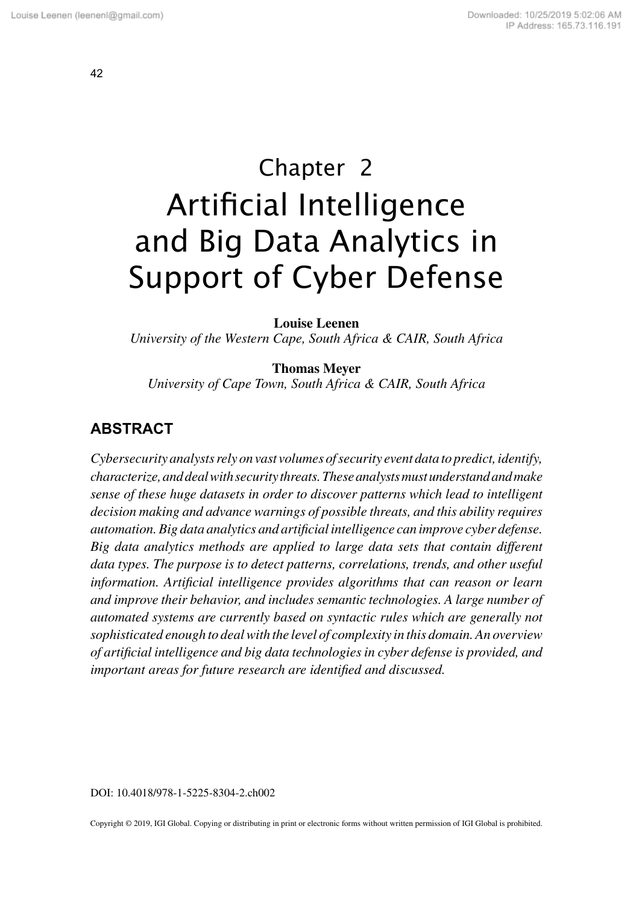**Louise Leenen**

*University of the Western Cape, South Africa & CAIR, South Africa*

#### **Thomas Meyer**

*University of Cape Town, South Africa & CAIR, South Africa*

# **ABSTRACT**

*Cybersecurity analysts rely on vast volumes of security event data to predict, identify, characterize, and deal with security threats. These analysts must understand and make sense of these huge datasets in order to discover patterns which lead to intelligent decision making and advance warnings of possible threats, and this ability requires automation. Big data analytics and artificial intelligence can improve cyber defense. Big data analytics methods are applied to large data sets that contain different*  data types. The purpose is to detect patterns, correlations, trends, and other useful *information. Artificial intelligence provides algorithms that can reason or learn and improve their behavior, and includes semantic technologies. A large number of automated systems are currently based on syntactic rules which are generally not sophisticated enough to deal with the level of complexity in this domain. An overview of artificial intelligence and big data technologies in cyber defense is provided, and important areas for future research are identified and discussed.*

DOI: 10.4018/978-1-5225-8304-2.ch002

Copyright © 2019, IGI Global. Copying or distributing in print or electronic forms without written permission of IGI Global is prohibited.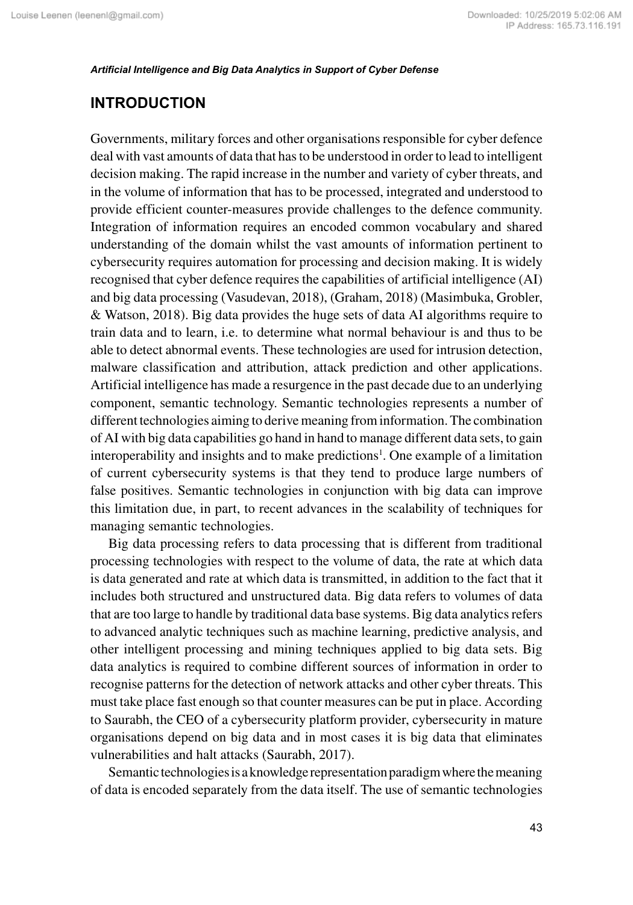## **INTRODUCTION**

Governments, military forces and other organisations responsible for cyber defence deal with vast amounts of data that has to be understood in order to lead to intelligent decision making. The rapid increase in the number and variety of cyber threats, and in the volume of information that has to be processed, integrated and understood to provide efficient counter-measures provide challenges to the defence community. Integration of information requires an encoded common vocabulary and shared understanding of the domain whilst the vast amounts of information pertinent to cybersecurity requires automation for processing and decision making. It is widely recognised that cyber defence requires the capabilities of artificial intelligence (AI) and big data processing (Vasudevan, 2018), (Graham, 2018) (Masimbuka, Grobler, & Watson, 2018). Big data provides the huge sets of data AI algorithms require to train data and to learn, i.e. to determine what normal behaviour is and thus to be able to detect abnormal events. These technologies are used for intrusion detection, malware classification and attribution, attack prediction and other applications. Artificial intelligence has made a resurgence in the past decade due to an underlying component, semantic technology. Semantic technologies represents a number of different technologies aiming to derive meaning from information. The combination of AI with big data capabilities go hand in hand to manage different data sets, to gain interoperability and insights and to make predictions<sup>1</sup>. One example of a limitation of current cybersecurity systems is that they tend to produce large numbers of false positives. Semantic technologies in conjunction with big data can improve this limitation due, in part, to recent advances in the scalability of techniques for managing semantic technologies.

Big data processing refers to data processing that is different from traditional processing technologies with respect to the volume of data, the rate at which data is data generated and rate at which data is transmitted, in addition to the fact that it includes both structured and unstructured data. Big data refers to volumes of data that are too large to handle by traditional data base systems. Big data analytics refers to advanced analytic techniques such as machine learning, predictive analysis, and other intelligent processing and mining techniques applied to big data sets. Big data analytics is required to combine different sources of information in order to recognise patterns for the detection of network attacks and other cyber threats. This must take place fast enough so that counter measures can be put in place. According to Saurabh, the CEO of a cybersecurity platform provider, cybersecurity in mature organisations depend on big data and in most cases it is big data that eliminates vulnerabilities and halt attacks (Saurabh, 2017).

Semantic technologies is a knowledge representation paradigm where the meaning of data is encoded separately from the data itself. The use of semantic technologies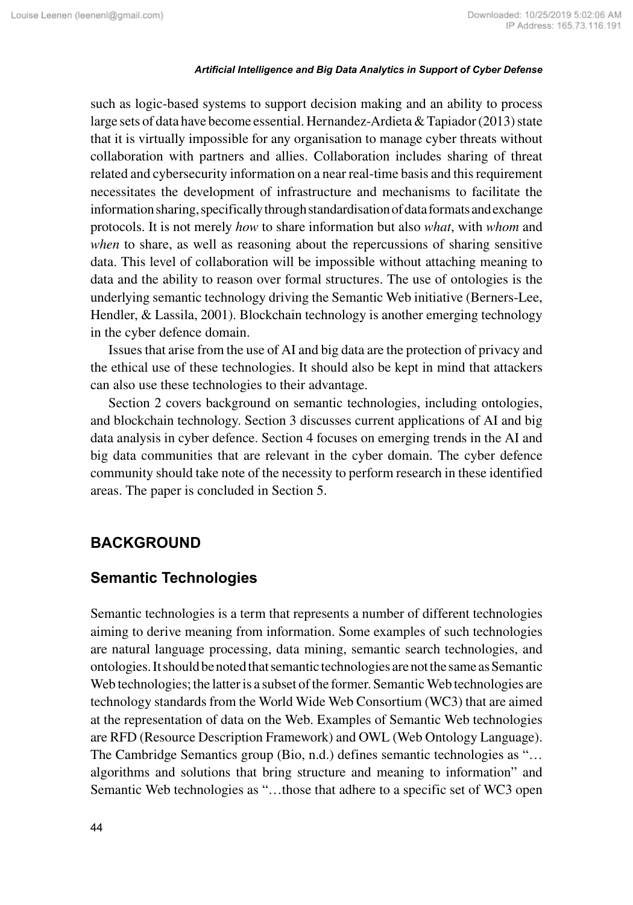such as logic-based systems to support decision making and an ability to process large sets of data have become essential. Hernandez-Ardieta & Tapiador (2013) state that it is virtually impossible for any organisation to manage cyber threats without collaboration with partners and allies. Collaboration includes sharing of threat related and cybersecurity information on a near real-time basis and this requirement necessitates the development of infrastructure and mechanisms to facilitate the information sharing, specifically through standardisation of data formats and exchange protocols. It is not merely *how* to share information but also *what*, with *whom* and *when* to share, as well as reasoning about the repercussions of sharing sensitive data. This level of collaboration will be impossible without attaching meaning to data and the ability to reason over formal structures. The use of ontologies is the underlying semantic technology driving the Semantic Web initiative (Berners-Lee, Hendler, & Lassila, 2001). Blockchain technology is another emerging technology in the cyber defence domain.

Issues that arise from the use of AI and big data are the protection of privacy and the ethical use of these technologies. It should also be kept in mind that attackers can also use these technologies to their advantage.

Section 2 covers background on semantic technologies, including ontologies, and blockchain technology. Section 3 discusses current applications of AI and big data analysis in cyber defence. Section 4 focuses on emerging trends in the AI and big data communities that are relevant in the cyber domain. The cyber defence community should take note of the necessity to perform research in these identified areas. The paper is concluded in Section 5.

## **BACKGROUND**

## **Semantic Technologies**

Semantic technologies is a term that represents a number of different technologies aiming to derive meaning from information. Some examples of such technologies are natural language processing, data mining, semantic search technologies, and ontologies. It should be noted that semantic technologies are not the same as Semantic Web technologies; the latter is a subset of the former. Semantic Web technologies are technology standards from the World Wide Web Consortium (WC3) that are aimed at the representation of data on the Web. Examples of Semantic Web technologies are RFD (Resource Description Framework) and OWL (Web Ontology Language). The Cambridge Semantics group (Bio, n.d.) defines semantic technologies as "… algorithms and solutions that bring structure and meaning to information" and Semantic Web technologies as "…those that adhere to a specific set of WC3 open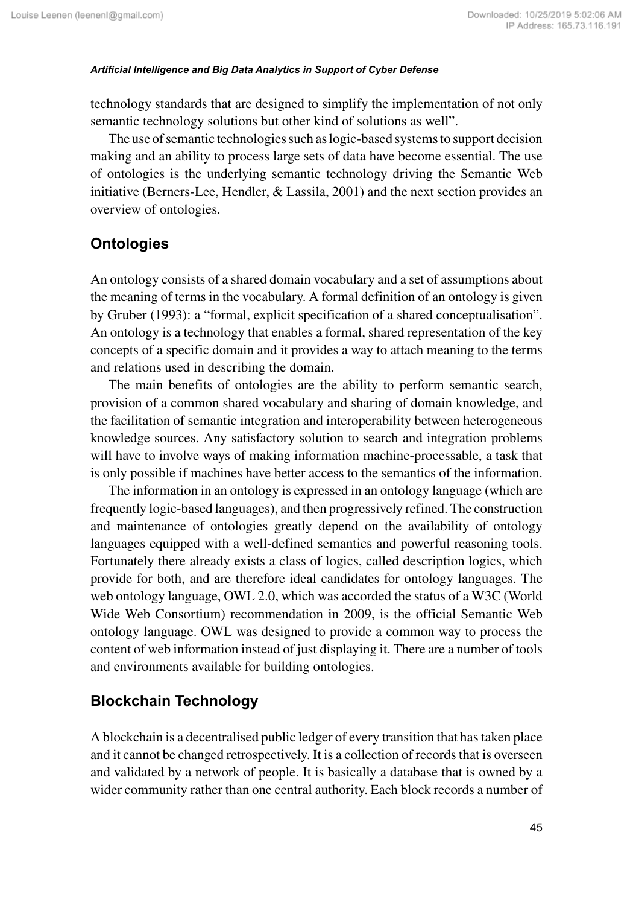technology standards that are designed to simplify the implementation of not only semantic technology solutions but other kind of solutions as well".

The use of semantic technologies such as logic-based systems to support decision making and an ability to process large sets of data have become essential. The use of ontologies is the underlying semantic technology driving the Semantic Web initiative (Berners-Lee, Hendler, & Lassila, 2001) and the next section provides an overview of ontologies.

## **Ontologies**

An ontology consists of a shared domain vocabulary and a set of assumptions about the meaning of terms in the vocabulary. A formal definition of an ontology is given by Gruber (1993): a "formal, explicit specification of a shared conceptualisation". An ontology is a technology that enables a formal, shared representation of the key concepts of a specific domain and it provides a way to attach meaning to the terms and relations used in describing the domain.

The main benefits of ontologies are the ability to perform semantic search, provision of a common shared vocabulary and sharing of domain knowledge, and the facilitation of semantic integration and interoperability between heterogeneous knowledge sources. Any satisfactory solution to search and integration problems will have to involve ways of making information machine-processable, a task that is only possible if machines have better access to the semantics of the information.

The information in an ontology is expressed in an ontology language (which are frequently logic-based languages), and then progressively refined. The construction and maintenance of ontologies greatly depend on the availability of ontology languages equipped with a well-defined semantics and powerful reasoning tools. Fortunately there already exists a class of logics, called description logics, which provide for both, and are therefore ideal candidates for ontology languages. The web ontology language, OWL 2.0, which was accorded the status of a W3C (World Wide Web Consortium) recommendation in 2009, is the official Semantic Web ontology language. OWL was designed to provide a common way to process the content of web information instead of just displaying it. There are a number of tools and environments available for building ontologies.

## **Blockchain Technology**

A blockchain is a decentralised public ledger of every transition that has taken place and it cannot be changed retrospectively. It is a collection of records that is overseen and validated by a network of people. It is basically a database that is owned by a wider community rather than one central authority. Each block records a number of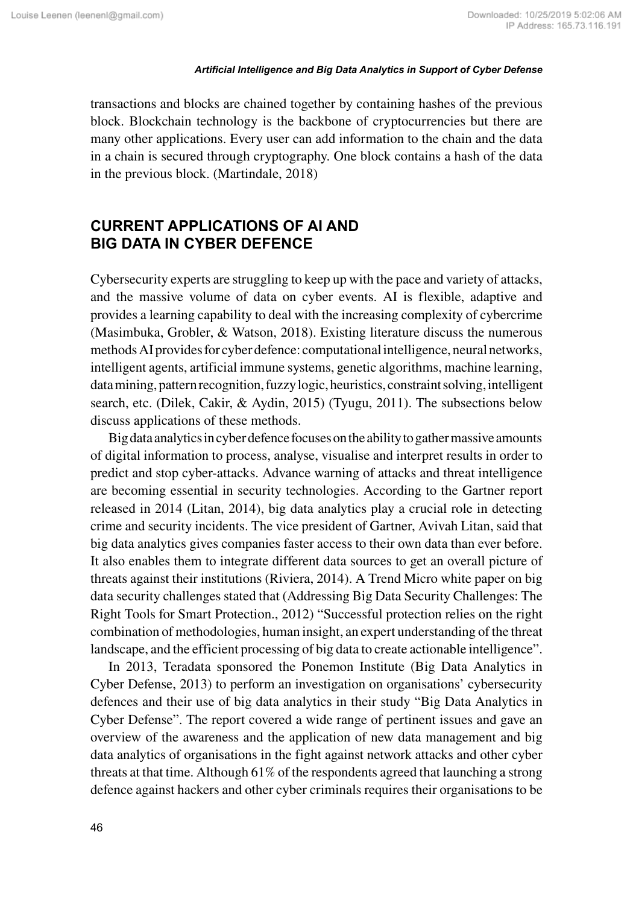transactions and blocks are chained together by containing hashes of the previous block. Blockchain technology is the backbone of cryptocurrencies but there are many other applications. Every user can add information to the chain and the data in a chain is secured through cryptography. One block contains a hash of the data in the previous block. (Martindale, 2018)

# **CURRENT APPLICATIONS OF AI AND BIG DATA IN CYBER DEFENCE**

Cybersecurity experts are struggling to keep up with the pace and variety of attacks, and the massive volume of data on cyber events. AI is flexible, adaptive and provides a learning capability to deal with the increasing complexity of cybercrime (Masimbuka, Grobler, & Watson, 2018). Existing literature discuss the numerous methods AI provides for cyber defence: computational intelligence, neural networks, intelligent agents, artificial immune systems, genetic algorithms, machine learning, data mining, pattern recognition, fuzzy logic, heuristics, constraint solving, intelligent search, etc. (Dilek, Cakir, & Aydin, 2015) (Tyugu, 2011). The subsections below discuss applications of these methods.

Big data analytics in cyber defence focuses on the ability to gather massive amounts of digital information to process, analyse, visualise and interpret results in order to predict and stop cyber-attacks. Advance warning of attacks and threat intelligence are becoming essential in security technologies. According to the Gartner report released in 2014 (Litan, 2014), big data analytics play a crucial role in detecting crime and security incidents. The vice president of Gartner, Avivah Litan, said that big data analytics gives companies faster access to their own data than ever before. It also enables them to integrate different data sources to get an overall picture of threats against their institutions (Riviera, 2014). A Trend Micro white paper on big data security challenges stated that (Addressing Big Data Security Challenges: The Right Tools for Smart Protection., 2012) "Successful protection relies on the right combination of methodologies, human insight, an expert understanding of the threat landscape, and the efficient processing of big data to create actionable intelligence".

In 2013, Teradata sponsored the Ponemon Institute (Big Data Analytics in Cyber Defense, 2013) to perform an investigation on organisations' cybersecurity defences and their use of big data analytics in their study "Big Data Analytics in Cyber Defense". The report covered a wide range of pertinent issues and gave an overview of the awareness and the application of new data management and big data analytics of organisations in the fight against network attacks and other cyber threats at that time. Although 61% of the respondents agreed that launching a strong defence against hackers and other cyber criminals requires their organisations to be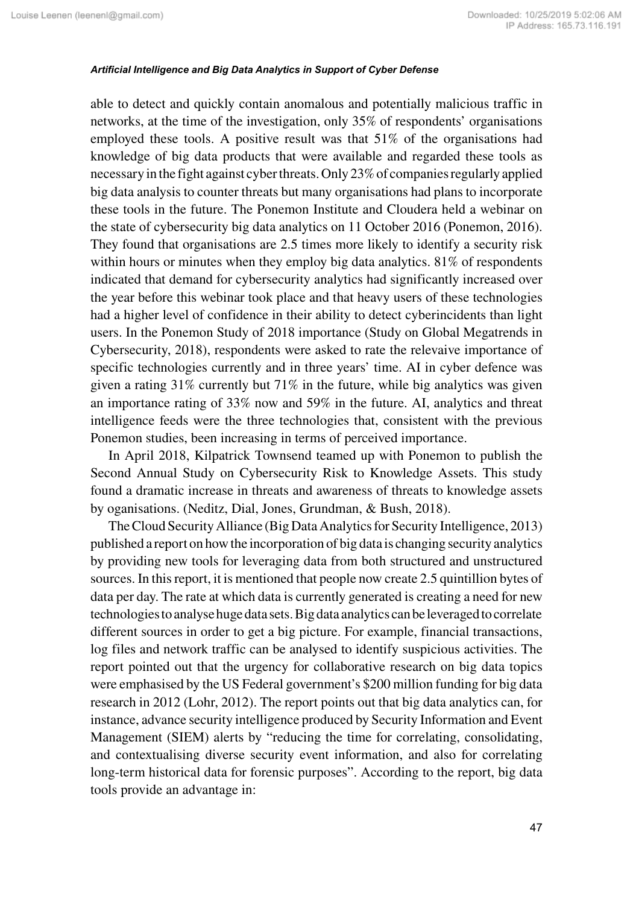able to detect and quickly contain anomalous and potentially malicious traffic in networks, at the time of the investigation, only 35% of respondents' organisations employed these tools. A positive result was that 51% of the organisations had knowledge of big data products that were available and regarded these tools as necessary in the fight against cyber threats. Only 23% of companies regularly applied big data analysis to counter threats but many organisations had plans to incorporate these tools in the future. The Ponemon Institute and Cloudera held a webinar on the state of cybersecurity big data analytics on 11 October 2016 (Ponemon, 2016). They found that organisations are 2.5 times more likely to identify a security risk within hours or minutes when they employ big data analytics. 81% of respondents indicated that demand for cybersecurity analytics had significantly increased over the year before this webinar took place and that heavy users of these technologies had a higher level of confidence in their ability to detect cyberincidents than light users. In the Ponemon Study of 2018 importance (Study on Global Megatrends in Cybersecurity, 2018), respondents were asked to rate the relevaive importance of specific technologies currently and in three years' time. AI in cyber defence was given a rating 31% currently but 71% in the future, while big analytics was given an importance rating of 33% now and 59% in the future. AI, analytics and threat intelligence feeds were the three technologies that, consistent with the previous Ponemon studies, been increasing in terms of perceived importance.

In April 2018, Kilpatrick Townsend teamed up with Ponemon to publish the Second Annual Study on Cybersecurity Risk to Knowledge Assets. This study found a dramatic increase in threats and awareness of threats to knowledge assets by oganisations. (Neditz, Dial, Jones, Grundman, & Bush, 2018).

The Cloud Security Alliance (Big Data Analytics for Security Intelligence, 2013) published a report on how the incorporation of big data is changing security analytics by providing new tools for leveraging data from both structured and unstructured sources. In this report, it is mentioned that people now create 2.5 quintillion bytes of data per day. The rate at which data is currently generated is creating a need for new technologies to analyse huge data sets. Big data analytics can be leveraged to correlate different sources in order to get a big picture. For example, financial transactions, log files and network traffic can be analysed to identify suspicious activities. The report pointed out that the urgency for collaborative research on big data topics were emphasised by the US Federal government's \$200 million funding for big data research in 2012 (Lohr, 2012). The report points out that big data analytics can, for instance, advance security intelligence produced by Security Information and Event Management (SIEM) alerts by "reducing the time for correlating, consolidating, and contextualising diverse security event information, and also for correlating long-term historical data for forensic purposes". According to the report, big data tools provide an advantage in: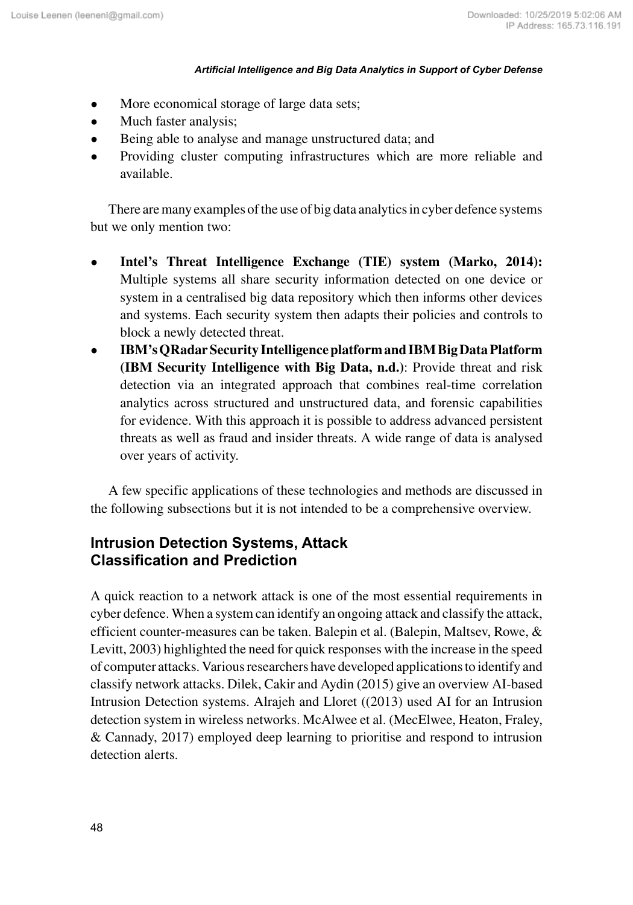- More economical storage of large data sets;
- Much faster analysis;
- Being able to analyse and manage unstructured data; and
- Providing cluster computing infrastructures which are more reliable and available.

There are many examples of the use of big data analytics in cyber defence systems but we only mention two:

- **Intel's Threat Intelligence Exchange (TIE) system (Marko, 2014):** Multiple systems all share security information detected on one device or system in a centralised big data repository which then informs other devices and systems. Each security system then adapts their policies and controls to block a newly detected threat.
- **IBM's QRadar Security Intelligence platform and IBM Big Data Platform (IBM Security Intelligence with Big Data, n.d.)**: Provide threat and risk detection via an integrated approach that combines real-time correlation analytics across structured and unstructured data, and forensic capabilities for evidence. With this approach it is possible to address advanced persistent threats as well as fraud and insider threats. A wide range of data is analysed over years of activity.

A few specific applications of these technologies and methods are discussed in the following subsections but it is not intended to be a comprehensive overview.

# **Intrusion Detection Systems, Attack Classification and Prediction**

A quick reaction to a network attack is one of the most essential requirements in cyber defence. When a system can identify an ongoing attack and classify the attack, efficient counter-measures can be taken. Balepin et al. (Balepin, Maltsev, Rowe, & Levitt, 2003) highlighted the need for quick responses with the increase in the speed of computer attacks. Various researchers have developed applications to identify and classify network attacks. Dilek, Cakir and Aydin (2015) give an overview AI-based Intrusion Detection systems. Alrajeh and Lloret ((2013) used AI for an Intrusion detection system in wireless networks. McAlwee et al. (MecElwee, Heaton, Fraley, & Cannady, 2017) employed deep learning to prioritise and respond to intrusion detection alerts.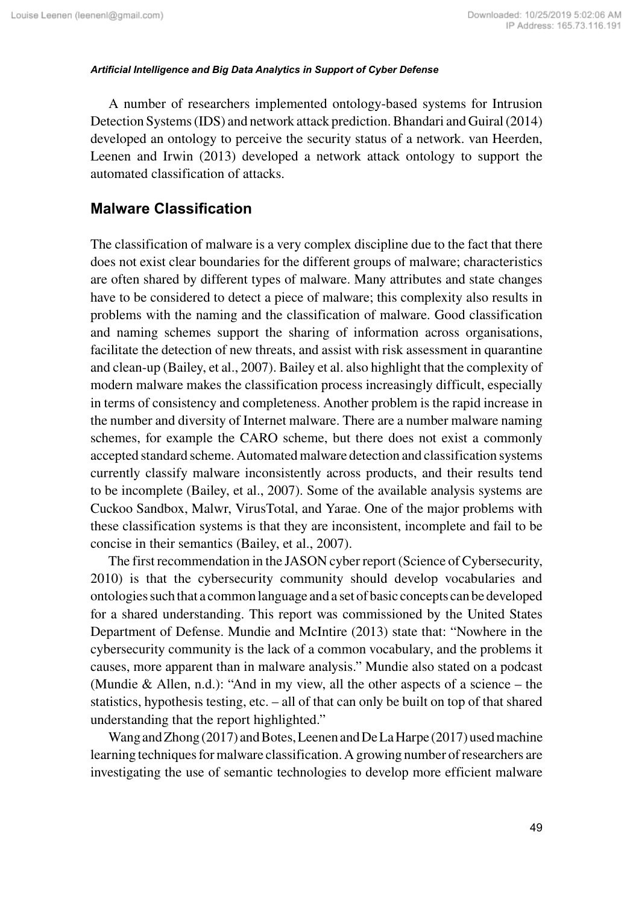A number of researchers implemented ontology-based systems for Intrusion Detection Systems (IDS) and network attack prediction. Bhandari and Guiral (2014) developed an ontology to perceive the security status of a network. van Heerden, Leenen and Irwin (2013) developed a network attack ontology to support the automated classification of attacks.

## **Malware Classification**

The classification of malware is a very complex discipline due to the fact that there does not exist clear boundaries for the different groups of malware; characteristics are often shared by different types of malware. Many attributes and state changes have to be considered to detect a piece of malware; this complexity also results in problems with the naming and the classification of malware. Good classification and naming schemes support the sharing of information across organisations, facilitate the detection of new threats, and assist with risk assessment in quarantine and clean-up (Bailey, et al., 2007). Bailey et al. also highlight that the complexity of modern malware makes the classification process increasingly difficult, especially in terms of consistency and completeness. Another problem is the rapid increase in the number and diversity of Internet malware. There are a number malware naming schemes, for example the CARO scheme, but there does not exist a commonly accepted standard scheme. Automated malware detection and classification systems currently classify malware inconsistently across products, and their results tend to be incomplete (Bailey, et al., 2007). Some of the available analysis systems are Cuckoo Sandbox, Malwr, VirusTotal, and Yarae. One of the major problems with these classification systems is that they are inconsistent, incomplete and fail to be concise in their semantics (Bailey, et al., 2007).

The first recommendation in the JASON cyber report (Science of Cybersecurity, 2010) is that the cybersecurity community should develop vocabularies and ontologies such that a common language and a set of basic concepts can be developed for a shared understanding. This report was commissioned by the United States Department of Defense. Mundie and McIntire (2013) state that: "Nowhere in the cybersecurity community is the lack of a common vocabulary, and the problems it causes, more apparent than in malware analysis." Mundie also stated on a podcast (Mundie & Allen, n.d.): "And in my view, all the other aspects of a science – the statistics, hypothesis testing, etc. – all of that can only be built on top of that shared understanding that the report highlighted."

Wang and Zhong (2017) and Botes, Leenen and De La Harpe (2017) used machine learning techniques for malware classification. A growing number of researchers are investigating the use of semantic technologies to develop more efficient malware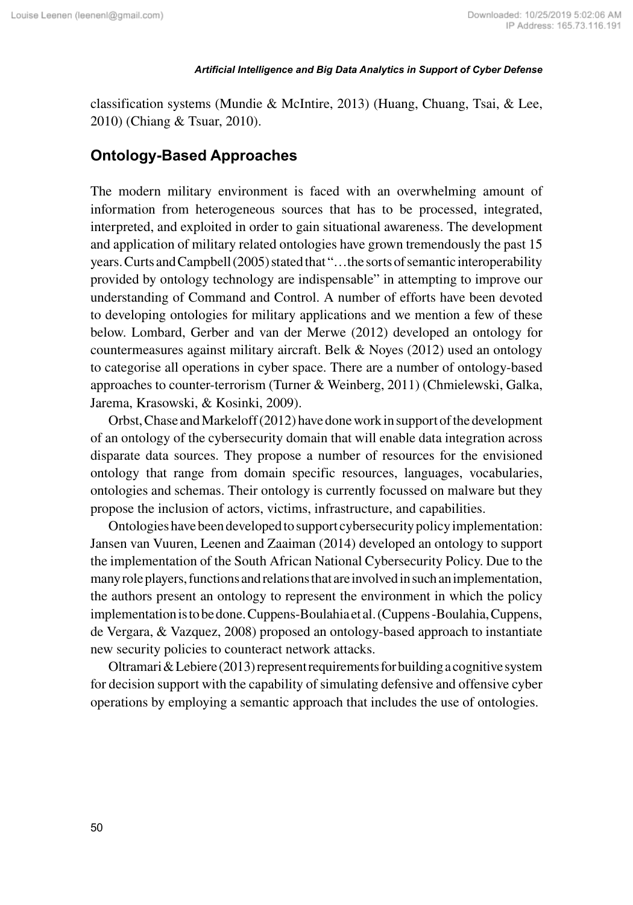classification systems (Mundie & McIntire, 2013) (Huang, Chuang, Tsai, & Lee, 2010) (Chiang & Tsuar, 2010).

## **Ontology-Based Approaches**

The modern military environment is faced with an overwhelming amount of information from heterogeneous sources that has to be processed, integrated, interpreted, and exploited in order to gain situational awareness. The development and application of military related ontologies have grown tremendously the past 15 years. Curts and Campbell (2005) stated that "…the sorts of semantic interoperability provided by ontology technology are indispensable" in attempting to improve our understanding of Command and Control. A number of efforts have been devoted to developing ontologies for military applications and we mention a few of these below. Lombard, Gerber and van der Merwe (2012) developed an ontology for countermeasures against military aircraft. Belk & Noyes (2012) used an ontology to categorise all operations in cyber space. There are a number of ontology-based approaches to counter-terrorism (Turner & Weinberg, 2011) (Chmielewski, Galka, Jarema, Krasowski, & Kosinki, 2009).

Orbst, Chase and Markeloff (2012) have done work in support of the development of an ontology of the cybersecurity domain that will enable data integration across disparate data sources. They propose a number of resources for the envisioned ontology that range from domain specific resources, languages, vocabularies, ontologies and schemas. Their ontology is currently focussed on malware but they propose the inclusion of actors, victims, infrastructure, and capabilities.

Ontologies have been developed to support cybersecurity policy implementation: Jansen van Vuuren, Leenen and Zaaiman (2014) developed an ontology to support the implementation of the South African National Cybersecurity Policy. Due to the many role players, functions and relations that are involved in such an implementation, the authors present an ontology to represent the environment in which the policy implementation is to be done. Cuppens-Boulahia et al. (Cuppens -Boulahia, Cuppens, de Vergara, & Vazquez, 2008) proposed an ontology-based approach to instantiate new security policies to counteract network attacks.

Oltramari  $\&$  Lebiere (2013) represent requirements for building a cognitive system for decision support with the capability of simulating defensive and offensive cyber operations by employing a semantic approach that includes the use of ontologies.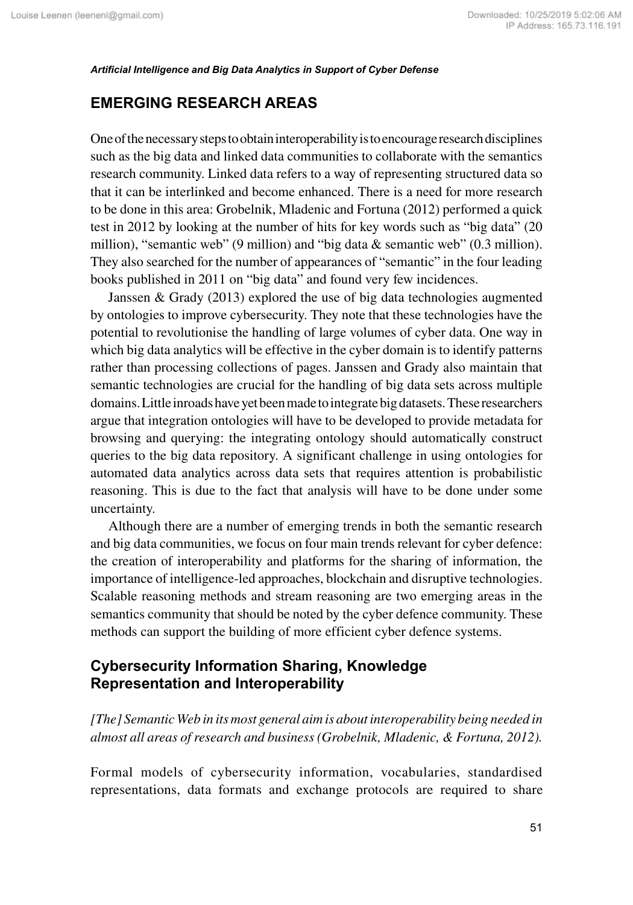## **EMERGING RESEARCH AREAS**

One of the necessary steps to obtain interoperability is to encourage research disciplines such as the big data and linked data communities to collaborate with the semantics research community. Linked data refers to a way of representing structured data so that it can be interlinked and become enhanced. There is a need for more research to be done in this area: Grobelnik, Mladenic and Fortuna (2012) performed a quick test in 2012 by looking at the number of hits for key words such as "big data" (20 million), "semantic web" (9 million) and "big data & semantic web" (0.3 million). They also searched for the number of appearances of "semantic" in the four leading books published in 2011 on "big data" and found very few incidences.

Janssen & Grady (2013) explored the use of big data technologies augmented by ontologies to improve cybersecurity. They note that these technologies have the potential to revolutionise the handling of large volumes of cyber data. One way in which big data analytics will be effective in the cyber domain is to identify patterns rather than processing collections of pages. Janssen and Grady also maintain that semantic technologies are crucial for the handling of big data sets across multiple domains. Little inroads have yet been made to integrate big datasets. These researchers argue that integration ontologies will have to be developed to provide metadata for browsing and querying: the integrating ontology should automatically construct queries to the big data repository. A significant challenge in using ontologies for automated data analytics across data sets that requires attention is probabilistic reasoning. This is due to the fact that analysis will have to be done under some uncertainty.

Although there are a number of emerging trends in both the semantic research and big data communities, we focus on four main trends relevant for cyber defence: the creation of interoperability and platforms for the sharing of information, the importance of intelligence-led approaches, blockchain and disruptive technologies. Scalable reasoning methods and stream reasoning are two emerging areas in the semantics community that should be noted by the cyber defence community. These methods can support the building of more efficient cyber defence systems.

## **Cybersecurity Information Sharing, Knowledge Representation and Interoperability**

*[The] Semantic Web in its most general aim is about interoperability being needed in almost all areas of research and business (Grobelnik, Mladenic, & Fortuna, 2012).*

Formal models of cybersecurity information, vocabularies, standardised representations, data formats and exchange protocols are required to share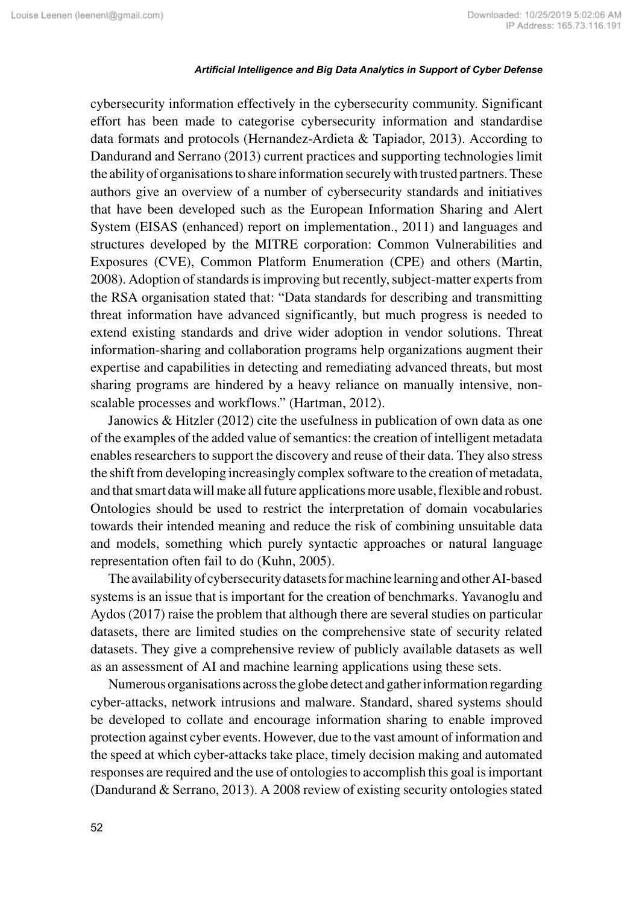cybersecurity information effectively in the cybersecurity community. Significant effort has been made to categorise cybersecurity information and standardise data formats and protocols (Hernandez-Ardieta & Tapiador, 2013). According to Dandurand and Serrano (2013) current practices and supporting technologies limit the ability of organisations to share information securely with trusted partners. These authors give an overview of a number of cybersecurity standards and initiatives that have been developed such as the European Information Sharing and Alert System (EISAS (enhanced) report on implementation., 2011) and languages and structures developed by the MITRE corporation: Common Vulnerabilities and Exposures (CVE), Common Platform Enumeration (CPE) and others (Martin, 2008). Adoption of standards is improving but recently, subject-matter experts from the RSA organisation stated that: "Data standards for describing and transmitting threat information have advanced significantly, but much progress is needed to extend existing standards and drive wider adoption in vendor solutions. Threat information-sharing and collaboration programs help organizations augment their expertise and capabilities in detecting and remediating advanced threats, but most sharing programs are hindered by a heavy reliance on manually intensive, nonscalable processes and workflows." (Hartman, 2012).

Janowics & Hitzler (2012) cite the usefulness in publication of own data as one of the examples of the added value of semantics: the creation of intelligent metadata enables researchers to support the discovery and reuse of their data. They also stress the shift from developing increasingly complex software to the creation of metadata, and that smart data will make all future applications more usable, flexible and robust. Ontologies should be used to restrict the interpretation of domain vocabularies towards their intended meaning and reduce the risk of combining unsuitable data and models, something which purely syntactic approaches or natural language representation often fail to do (Kuhn, 2005).

The availability of cybersecurity datasets for machine learning and other AI-based systems is an issue that is important for the creation of benchmarks. Yavanoglu and Aydos (2017) raise the problem that although there are several studies on particular datasets, there are limited studies on the comprehensive state of security related datasets. They give a comprehensive review of publicly available datasets as well as an assessment of AI and machine learning applications using these sets.

Numerous organisations across the globe detect and gather information regarding cyber-attacks, network intrusions and malware. Standard, shared systems should be developed to collate and encourage information sharing to enable improved protection against cyber events. However, due to the vast amount of information and the speed at which cyber-attacks take place, timely decision making and automated responses are required and the use of ontologies to accomplish this goal is important (Dandurand & Serrano, 2013). A 2008 review of existing security ontologies stated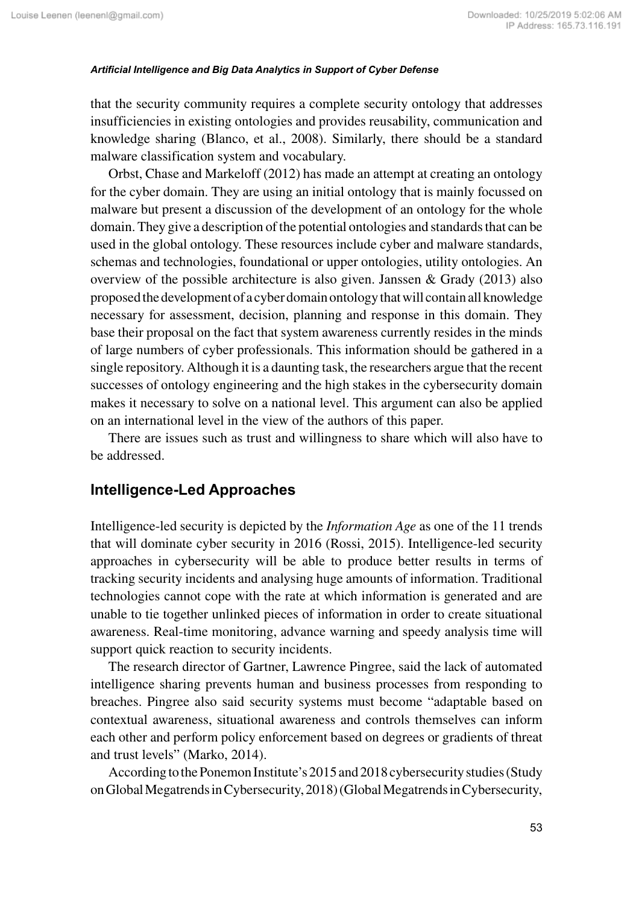that the security community requires a complete security ontology that addresses insufficiencies in existing ontologies and provides reusability, communication and knowledge sharing (Blanco, et al., 2008). Similarly, there should be a standard malware classification system and vocabulary.

Orbst, Chase and Markeloff (2012) has made an attempt at creating an ontology for the cyber domain. They are using an initial ontology that is mainly focussed on malware but present a discussion of the development of an ontology for the whole domain. They give a description of the potential ontologies and standards that can be used in the global ontology. These resources include cyber and malware standards, schemas and technologies, foundational or upper ontologies, utility ontologies. An overview of the possible architecture is also given. Janssen  $\&$  Grady (2013) also proposed the development of a cyber domain ontology that will contain all knowledge necessary for assessment, decision, planning and response in this domain. They base their proposal on the fact that system awareness currently resides in the minds of large numbers of cyber professionals. This information should be gathered in a single repository. Although it is a daunting task, the researchers argue that the recent successes of ontology engineering and the high stakes in the cybersecurity domain makes it necessary to solve on a national level. This argument can also be applied on an international level in the view of the authors of this paper.

There are issues such as trust and willingness to share which will also have to be addressed.

## **Intelligence-Led Approaches**

Intelligence-led security is depicted by the *Information Age* as one of the 11 trends that will dominate cyber security in 2016 (Rossi, 2015). Intelligence-led security approaches in cybersecurity will be able to produce better results in terms of tracking security incidents and analysing huge amounts of information. Traditional technologies cannot cope with the rate at which information is generated and are unable to tie together unlinked pieces of information in order to create situational awareness. Real-time monitoring, advance warning and speedy analysis time will support quick reaction to security incidents.

The research director of Gartner, Lawrence Pingree, said the lack of automated intelligence sharing prevents human and business processes from responding to breaches. Pingree also said security systems must become "adaptable based on contextual awareness, situational awareness and controls themselves can inform each other and perform policy enforcement based on degrees or gradients of threat and trust levels" (Marko, 2014).

According to the Ponemon Institute's 2015 and 2018 cybersecurity studies (Study on Global Megatrends in Cybersecurity, 2018) (Global Megatrends in Cybersecurity,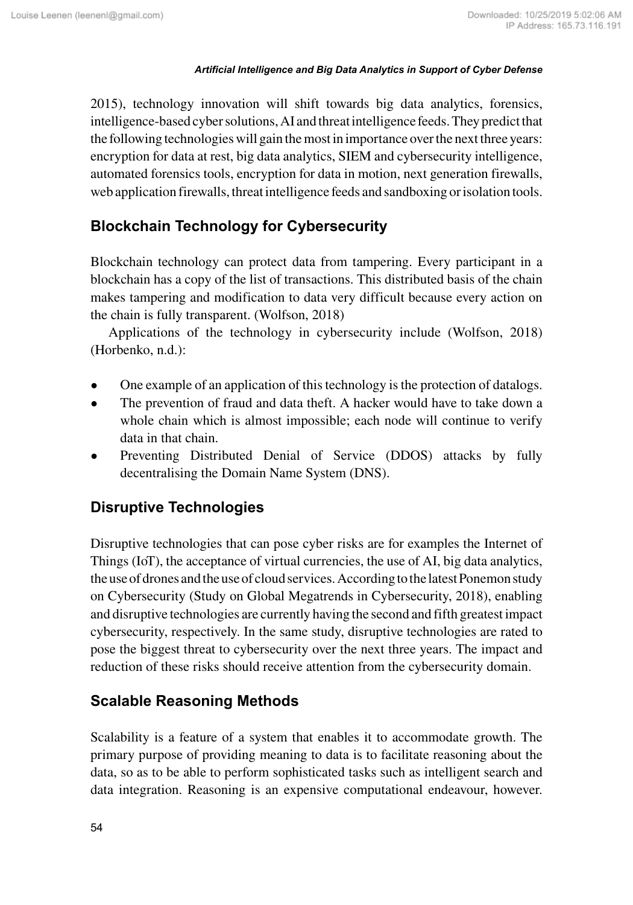2015), technology innovation will shift towards big data analytics, forensics, intelligence-based cyber solutions, AI and threat intelligence feeds. They predict that the following technologies will gain the most in importance over the next three years: encryption for data at rest, big data analytics, SIEM and cybersecurity intelligence, automated forensics tools, encryption for data in motion, next generation firewalls, web application firewalls, threat intelligence feeds and sandboxing or isolation tools.

# **Blockchain Technology for Cybersecurity**

Blockchain technology can protect data from tampering. Every participant in a blockchain has a copy of the list of transactions. This distributed basis of the chain makes tampering and modification to data very difficult because every action on the chain is fully transparent. (Wolfson, 2018)

Applications of the technology in cybersecurity include (Wolfson, 2018) (Horbenko, n.d.):

- One example of an application of this technology is the protection of datalogs.
- The prevention of fraud and data theft. A hacker would have to take down a whole chain which is almost impossible; each node will continue to verify data in that chain.
- Preventing Distributed Denial of Service (DDOS) attacks by fully decentralising the Domain Name System (DNS).

## **Disruptive Technologies**

Disruptive technologies that can pose cyber risks are for examples the Internet of Things (IoT), the acceptance of virtual currencies, the use of AI, big data analytics, the use of drones and the use of cloud services. According to the latest Ponemon study on Cybersecurity (Study on Global Megatrends in Cybersecurity, 2018), enabling and disruptive technologies are currently having the second and fifth greatest impact cybersecurity, respectively. In the same study, disruptive technologies are rated to pose the biggest threat to cybersecurity over the next three years. The impact and reduction of these risks should receive attention from the cybersecurity domain.

## **Scalable Reasoning Methods**

Scalability is a feature of a system that enables it to accommodate growth. The primary purpose of providing meaning to data is to facilitate reasoning about the data, so as to be able to perform sophisticated tasks such as intelligent search and data integration. Reasoning is an expensive computational endeavour, however.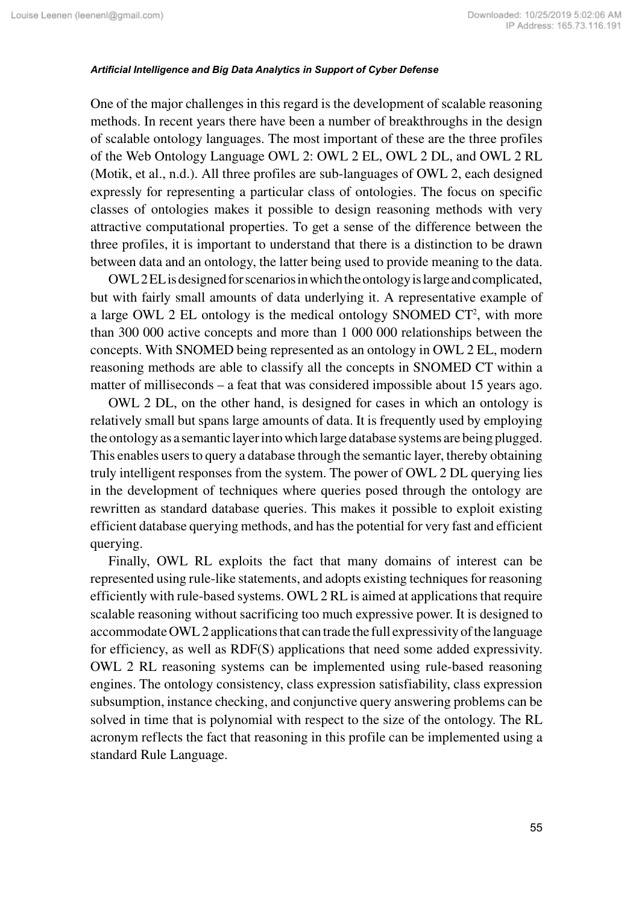One of the major challenges in this regard is the development of scalable reasoning methods. In recent years there have been a number of breakthroughs in the design of scalable ontology languages. The most important of these are the three profiles of the Web Ontology Language OWL 2: OWL 2 EL, OWL 2 DL, and OWL 2 RL (Motik, et al., n.d.). All three profiles are sub-languages of OWL 2, each designed expressly for representing a particular class of ontologies. The focus on specific classes of ontologies makes it possible to design reasoning methods with very attractive computational properties. To get a sense of the difference between the three profiles, it is important to understand that there is a distinction to be drawn between data and an ontology, the latter being used to provide meaning to the data.

OWL 2 EL is designed for scenarios in which the ontology is large and complicated, but with fairly small amounts of data underlying it. A representative example of a large OWL 2 EL ontology is the medical ontology SNOMED CT<sup>2</sup>, with more than 300 000 active concepts and more than 1 000 000 relationships between the concepts. With SNOMED being represented as an ontology in OWL 2 EL, modern reasoning methods are able to classify all the concepts in SNOMED CT within a matter of milliseconds – a feat that was considered impossible about 15 years ago.

OWL 2 DL, on the other hand, is designed for cases in which an ontology is relatively small but spans large amounts of data. It is frequently used by employing the ontology as a semantic layer into which large database systems are being plugged. This enables users to query a database through the semantic layer, thereby obtaining truly intelligent responses from the system. The power of OWL 2 DL querying lies in the development of techniques where queries posed through the ontology are rewritten as standard database queries. This makes it possible to exploit existing efficient database querying methods, and has the potential for very fast and efficient querying.

Finally, OWL RL exploits the fact that many domains of interest can be represented using rule-like statements, and adopts existing techniques for reasoning efficiently with rule-based systems. OWL 2 RL is aimed at applications that require scalable reasoning without sacrificing too much expressive power. It is designed to accommodate OWL 2 applications that can trade the full expressivity of the language for efficiency, as well as RDF(S) applications that need some added expressivity. OWL 2 RL reasoning systems can be implemented using rule-based reasoning engines. The ontology consistency, class expression satisfiability, class expression subsumption, instance checking, and conjunctive query answering problems can be solved in time that is polynomial with respect to the size of the ontology. The RL acronym reflects the fact that reasoning in this profile can be implemented using a standard Rule Language.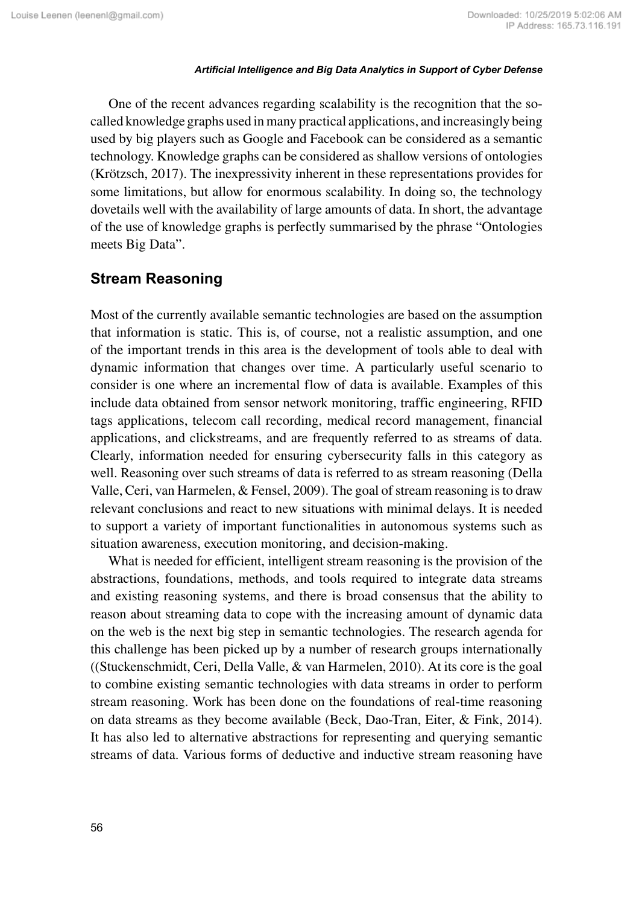One of the recent advances regarding scalability is the recognition that the socalled knowledge graphs used in many practical applications, and increasingly being used by big players such as Google and Facebook can be considered as a semantic technology. Knowledge graphs can be considered as shallow versions of ontologies (Krötzsch, 2017). The inexpressivity inherent in these representations provides for some limitations, but allow for enormous scalability. In doing so, the technology dovetails well with the availability of large amounts of data. In short, the advantage of the use of knowledge graphs is perfectly summarised by the phrase "Ontologies meets Big Data".

## **Stream Reasoning**

Most of the currently available semantic technologies are based on the assumption that information is static. This is, of course, not a realistic assumption, and one of the important trends in this area is the development of tools able to deal with dynamic information that changes over time. A particularly useful scenario to consider is one where an incremental flow of data is available. Examples of this include data obtained from sensor network monitoring, traffic engineering, RFID tags applications, telecom call recording, medical record management, financial applications, and clickstreams, and are frequently referred to as streams of data. Clearly, information needed for ensuring cybersecurity falls in this category as well. Reasoning over such streams of data is referred to as stream reasoning (Della Valle, Ceri, van Harmelen, & Fensel, 2009). The goal of stream reasoning is to draw relevant conclusions and react to new situations with minimal delays. It is needed to support a variety of important functionalities in autonomous systems such as situation awareness, execution monitoring, and decision-making.

What is needed for efficient, intelligent stream reasoning is the provision of the abstractions, foundations, methods, and tools required to integrate data streams and existing reasoning systems, and there is broad consensus that the ability to reason about streaming data to cope with the increasing amount of dynamic data on the web is the next big step in semantic technologies. The research agenda for this challenge has been picked up by a number of research groups internationally ((Stuckenschmidt, Ceri, Della Valle, & van Harmelen, 2010). At its core is the goal to combine existing semantic technologies with data streams in order to perform stream reasoning. Work has been done on the foundations of real-time reasoning on data streams as they become available (Beck, Dao-Tran, Eiter, & Fink, 2014). It has also led to alternative abstractions for representing and querying semantic streams of data. Various forms of deductive and inductive stream reasoning have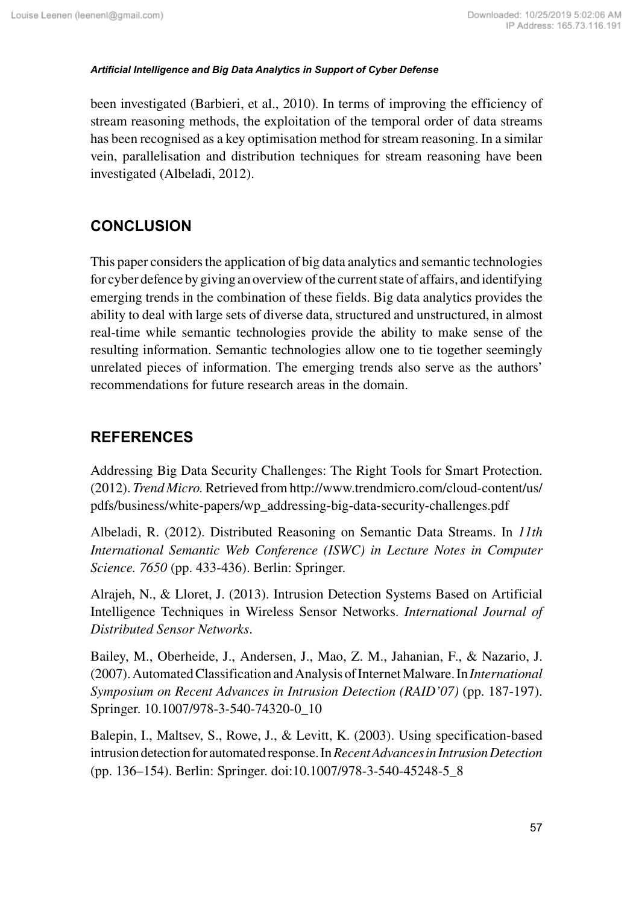been investigated (Barbieri, et al., 2010). In terms of improving the efficiency of stream reasoning methods, the exploitation of the temporal order of data streams has been recognised as a key optimisation method for stream reasoning. In a similar vein, parallelisation and distribution techniques for stream reasoning have been investigated (Albeladi, 2012).

# **CONCLUSION**

This paper considers the application of big data analytics and semantic technologies for cyber defence by giving an overview of the current state of affairs, and identifying emerging trends in the combination of these fields. Big data analytics provides the ability to deal with large sets of diverse data, structured and unstructured, in almost real-time while semantic technologies provide the ability to make sense of the resulting information. Semantic technologies allow one to tie together seemingly unrelated pieces of information. The emerging trends also serve as the authors' recommendations for future research areas in the domain.

# **REFERENCES**

Addressing Big Data Security Challenges: The Right Tools for Smart Protection. (2012). *Trend Micro.* Retrieved from [http://www.trendmicro.com/cloud-content/us/](http://www.trendmicro.com/cloud-content/us/pdfs/business/white-papers/wp_addressing-big-data-security-challenges.pdf) [pdfs/business/white-papers/wp\\_addressing-big-data-security-challenges.pdf](http://www.trendmicro.com/cloud-content/us/pdfs/business/white-papers/wp_addressing-big-data-security-challenges.pdf)

Albeladi, R. (2012). Distributed Reasoning on Semantic Data Streams. In *11th International Semantic Web Conference (ISWC) in Lecture Notes in Computer Science. 7650* (pp. 433-436). Berlin: Springer.

Alrajeh, N., & Lloret, J. (2013). Intrusion Detection Systems Based on Artificial Intelligence Techniques in Wireless Sensor Networks. *International Journal of Distributed Sensor Networks*.

Bailey, M., Oberheide, J., Andersen, J., Mao, Z. M., Jahanian, F., & Nazario, J. (2007). Automated Classification and Analysis of Internet Malware. In *International Symposium on Recent Advances in Intrusion Detection (RAID'07)* (pp. 187-197). Springer. 10.1007/978-3-540-74320-0\_10

Balepin, I., Maltsev, S., Rowe, J., & Levitt, K. (2003). Using specification-based intrusion detection for automated response. In *Recent Advances in Intrusion Detection* (pp. 136–154). Berlin: Springer. doi:10.1007/978-3-540-45248-5\_8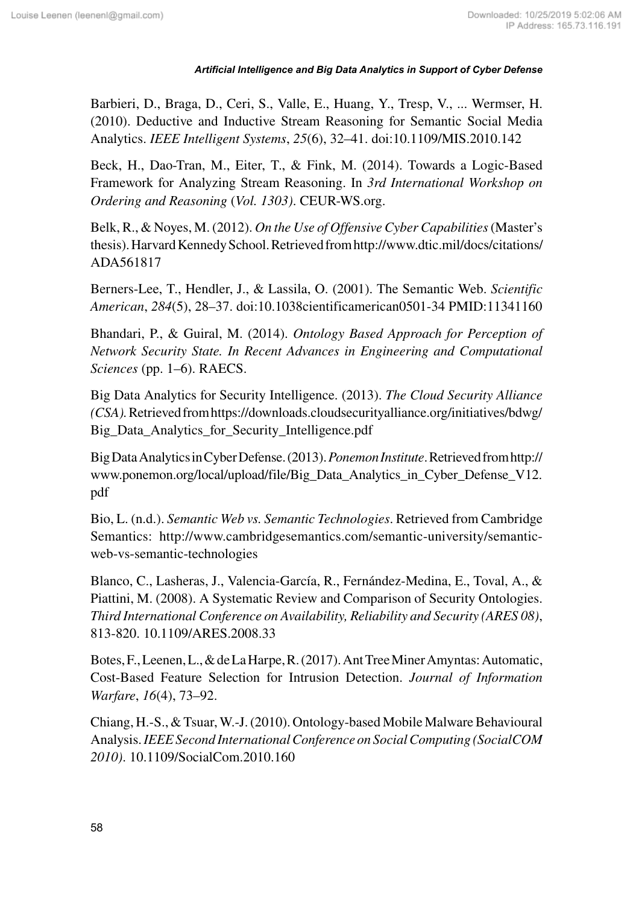Barbieri, D., Braga, D., Ceri, S., Valle, E., Huang, Y., Tresp, V., ... Wermser, H. (2010). Deductive and Inductive Stream Reasoning for Semantic Social Media Analytics. *IEEE Intelligent Systems*, *25*(6), 32–41. doi:10.1109/MIS.2010.142

Beck, H., Dao-Tran, M., Eiter, T., & Fink, M. (2014). Towards a Logic-Based Framework for Analyzing Stream Reasoning. In *3rd International Workshop on Ordering and Reasoning* (*Vol. 1303)*. CEUR-WS.org.

Belk, R., & Noyes, M. (2012). *On the Use of Offensive Cyber Capabilities* (Master's thesis). Harvard Kennedy School. Retrieved from [http://www.dtic.mil/docs/citations/](http://www.dtic.mil/docs/citations/ADA561817) [ADA561817](http://www.dtic.mil/docs/citations/ADA561817)

Berners-Lee, T., Hendler, J., & Lassila, O. (2001). The Semantic Web. *Scientific American*, *284*(5), 28–37. doi:10.1038cientificamerican0501-34 PMID:11341160

Bhandari, P., & Guiral, M. (2014). *Ontology Based Approach for Perception of Network Security State. In Recent Advances in Engineering and Computational Sciences* (pp. 1–6). RAECS.

Big Data Analytics for Security Intelligence. (2013). *The Cloud Security Alliance (CSA).* Retrieved from [https://downloads.cloudsecurityalliance.org/initiatives/bdwg/](https://downloads.cloudsecurityalliance.org/initiatives/bdwg/Big_Data_Analytics_for_Security_Intelligence.pdf) [Big\\_Data\\_Analytics\\_for\\_Security\\_Intelligence.pdf](https://downloads.cloudsecurityalliance.org/initiatives/bdwg/Big_Data_Analytics_for_Security_Intelligence.pdf)

Big Data Analytics in Cyber Defense. (2013). *Ponemon Institute*. Retrieved from [http://](http://www.ponemon.org/local/upload/file/Big_Data_Analytics_in_Cyber_Defense_V12.pdf) [www.ponemon.org/local/upload/file/Big\\_Data\\_Analytics\\_in\\_Cyber\\_Defense\\_V12.](http://www.ponemon.org/local/upload/file/Big_Data_Analytics_in_Cyber_Defense_V12.pdf) [pdf](http://www.ponemon.org/local/upload/file/Big_Data_Analytics_in_Cyber_Defense_V12.pdf)

Bio, L. (n.d.). *Semantic Web vs. Semantic Technologies*. Retrieved from Cambridge Semantics: [http://www.cambridgesemantics.com/semantic-university/semantic](http://www.cambridgesemantics.com/semantic-university/semantic-web-vs-semantic-technologies)[web-vs-semantic-technologies](http://www.cambridgesemantics.com/semantic-university/semantic-web-vs-semantic-technologies)

Blanco, C., Lasheras, J., Valencia-García, R., Fernández-Medina, E., Toval, A., & Piattini, M. (2008). A Systematic Review and Comparison of Security Ontologies. *Third International Conference on Availability, Reliability and Security (ARES 08)*, 813-820. 10.1109/ARES.2008.33

Botes, F., Leenen, L., & de La Harpe, R. (2017). Ant Tree Miner Amyntas: Automatic, Cost-Based Feature Selection for Intrusion Detection. *Journal of Information Warfare*, *16*(4), 73–92.

Chiang, H.-S., & Tsuar, W.-J. (2010). Ontology-based Mobile Malware Behavioural Analysis. *IEEE Second International Conference on Social Computing (SocialCOM 2010)*. 10.1109/SocialCom.2010.160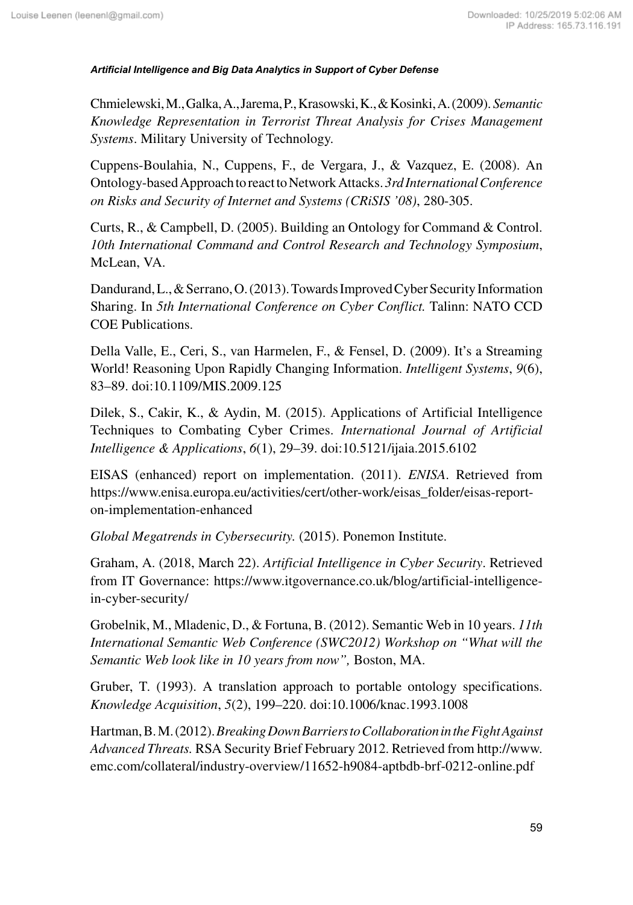Chmielewski, M., Galka, A., Jarema, P., Krasowski, K., & Kosinki, A. (2009). *Semantic Knowledge Representation in Terrorist Threat Analysis for Crises Management Systems*. Military University of Technology.

Cuppens-Boulahia, N., Cuppens, F., de Vergara, J., & Vazquez, E. (2008). An Ontology-based Approach to react to Network Attacks. *3rd International Conference on Risks and Security of Internet and Systems (CRiSIS '08)*, 280-305.

Curts, R., & Campbell, D. (2005). Building an Ontology for Command & Control. *10th International Command and Control Research and Technology Symposium*, McLean, VA.

Dandurand, L., & Serrano, O. (2013). Towards Improved Cyber Security Information Sharing. In *5th International Conference on Cyber Conflict.* Talinn: NATO CCD COE Publications.

Della Valle, E., Ceri, S., van Harmelen, F., & Fensel, D. (2009). It's a Streaming World! Reasoning Upon Rapidly Changing Information. *Intelligent Systems*, *9*(6), 83–89. doi:10.1109/MIS.2009.125

Dilek, S., Cakir, K., & Aydin, M. (2015). Applications of Artificial Intelligence Techniques to Combating Cyber Crimes. *International Journal of Artificial Intelligence & Applications*, *6*(1), 29–39. doi:10.5121/ijaia.2015.6102

EISAS (enhanced) report on implementation. (2011). *ENISA*. Retrieved from [https://www.enisa.europa.eu/activities/cert/other-work/eisas\\_folder/eisas-report](https://www.enisa.europa.eu/activities/cert/other-work/eisas_folder/eisas-report-on-implementation-enhanced)[on-implementation-enhanced](https://www.enisa.europa.eu/activities/cert/other-work/eisas_folder/eisas-report-on-implementation-enhanced)

*Global Megatrends in Cybersecurity.* (2015). Ponemon Institute.

Graham, A. (2018, March 22). *Artificial Intelligence in Cyber Security*. Retrieved from IT Governance: [https://www.itgovernance.co.uk/blog/artificial-intelligence](https://www.itgovernance.co.uk/blog/artificial-intelligence-in-cyber-security/)[in-cyber-security/](https://www.itgovernance.co.uk/blog/artificial-intelligence-in-cyber-security/)

Grobelnik, M., Mladenic, D., & Fortuna, B. (2012). Semantic Web in 10 years. *11th International Semantic Web Conference (SWC2012) Workshop on "What will the Semantic Web look like in 10 years from now",* Boston, MA.

Gruber, T. (1993). A translation approach to portable ontology specifications. *Knowledge Acquisition*, *5*(2), 199–220. doi:10.1006/knac.1993.1008

Hartman, B. M. (2012). *Breaking Down Barriers to Collaboration in the Fight Against Advanced Threats.* RSA Security Brief February 2012. Retrieved from [http://www.](http://www.emc.com/collateral/industry-overview/11652-h9084-aptbdb-brf-0212-online.pdf) [emc.com/collateral/industry-overview/11652-h9084-aptbdb-brf-0212-online.pdf](http://www.emc.com/collateral/industry-overview/11652-h9084-aptbdb-brf-0212-online.pdf)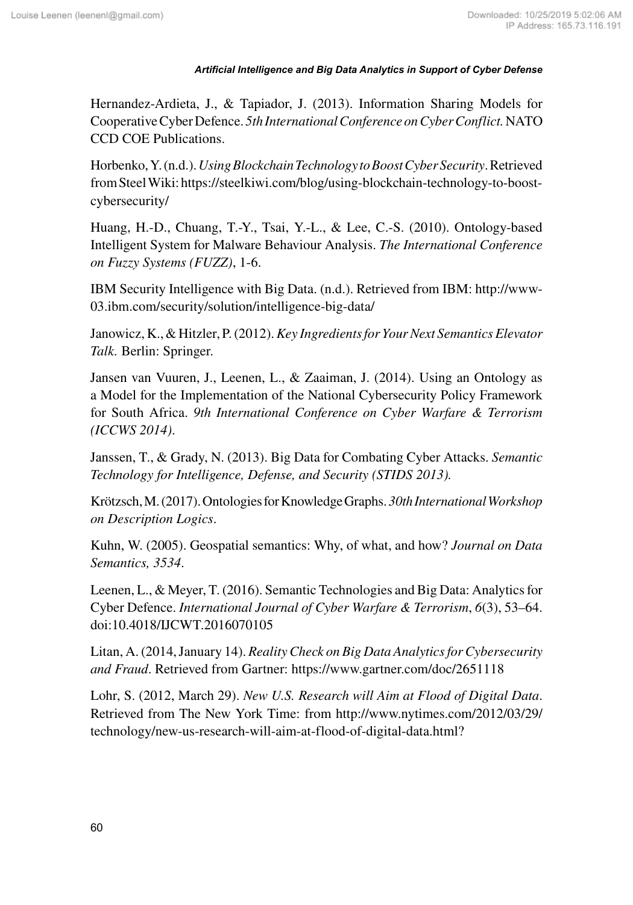Hernandez-Ardieta, J., & Tapiador, J. (2013). Information Sharing Models for Cooperative Cyber Defence. *5th International Conference on Cyber Conflict.* NATO CCD COE Publications.

Horbenko, Y. (n.d.). *Using Blockchain Technology to Boost Cyber Security*. Retrieved from Steel Wiki: [https://steelkiwi.com/blog/using-blockchain-technology-to-boost](https://steelkiwi.com/blog/using-blockchain-technology-to-boost-cybersecurity/)[cybersecurity/](https://steelkiwi.com/blog/using-blockchain-technology-to-boost-cybersecurity/)

Huang, H.-D., Chuang, T.-Y., Tsai, Y.-L., & Lee, C.-S. (2010). Ontology-based Intelligent System for Malware Behaviour Analysis. *The International Conference on Fuzzy Systems (FUZZ)*, 1-6.

IBM Security Intelligence with Big Data. (n.d.). Retrieved from IBM: [http://www-](http://www-03.ibm.com/security/solution/intelligence-big-data/)[03.ibm.com/security/solution/intelligence-big-data/](http://www-03.ibm.com/security/solution/intelligence-big-data/)

Janowicz, K., & Hitzler, P. (2012). *Key Ingredients for Your Next Semantics Elevator Talk.* Berlin: Springer.

Jansen van Vuuren, J., Leenen, L., & Zaaiman, J. (2014). Using an Ontology as a Model for the Implementation of the National Cybersecurity Policy Framework for South Africa. *9th International Conference on Cyber Warfare & Terrorism (ICCWS 2014)*.

Janssen, T., & Grady, N. (2013). Big Data for Combating Cyber Attacks. *Semantic Technology for Intelligence, Defense, and Security (STIDS 2013).*

Krötzsch, M. (2017). Ontologies for Knowledge Graphs. *30th International Workshop on Description Logics*.

Kuhn, W. (2005). Geospatial semantics: Why, of what, and how? *Journal on Data Semantics, 3534*.

Leenen, L., & Meyer, T. (2016). Semantic Technologies and Big Data: Analytics for Cyber Defence. *International Journal of Cyber Warfare & Terrorism*, *6*(3), 53–64. doi:10.4018/IJCWT.2016070105

Litan, A. (2014, January 14). *Reality Check on Big Data Analytics for Cybersecurity and Fraud*. Retrieved from Gartner:<https://www.gartner.com/doc/2651118>

Lohr, S. (2012, March 29). *New U.S. Research will Aim at Flood of Digital Data*. Retrieved from The New York Time: from [http://www.nytimes.com/2012/03/29/](http://www.nytimes.com/2012/03/29/technology/new-us-research-will-aim-at-flood-of-digital-data.html) [technology/new-us-research-will-aim-at-flood-of-digital-data.html?](http://www.nytimes.com/2012/03/29/technology/new-us-research-will-aim-at-flood-of-digital-data.html)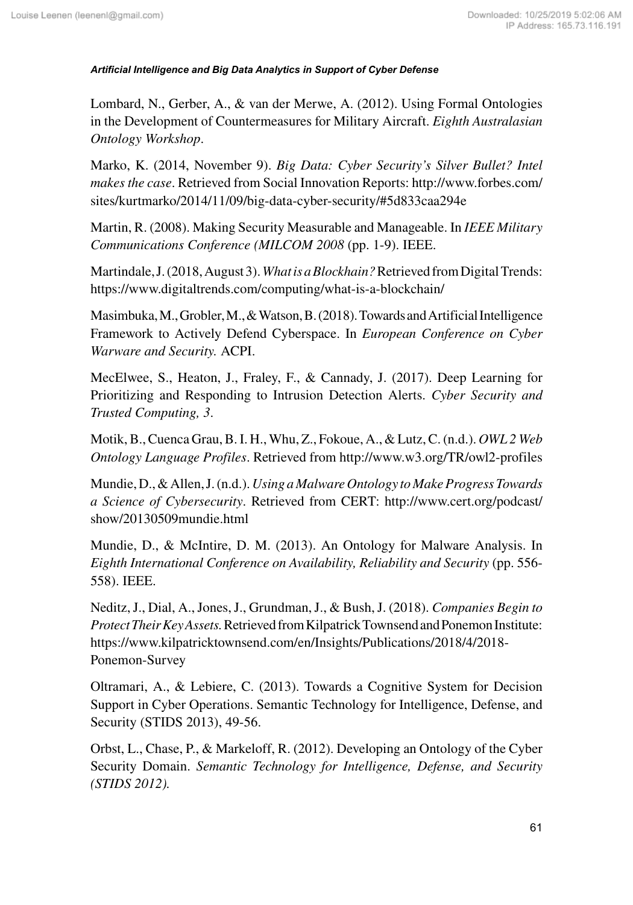Lombard, N., Gerber, A., & van der Merwe, A. (2012). Using Formal Ontologies in the Development of Countermeasures for Military Aircraft. *Eighth Australasian Ontology Workshop*.

Marko, K. (2014, November 9). *Big Data: Cyber Security's Silver Bullet? Intel makes the case*. Retrieved from Social Innovation Reports: [http://www.forbes.com/](http://www.forbes.com/sites/kurtmarko/2014/11/09/big-data-cyber-security/#5d833caa294e) [sites/kurtmarko/2014/11/09/big-data-cyber-security/#5d833caa294e](http://www.forbes.com/sites/kurtmarko/2014/11/09/big-data-cyber-security/#5d833caa294e)

Martin, R. (2008). Making Security Measurable and Manageable. In *IEEE Military Communications Conference (MILCOM 2008* (pp. 1-9). IEEE.

Martindale, J. (2018, August 3). *What is a Blockhain?* Retrieved from Digital Trends: <https://www.digitaltrends.com/computing/what-is-a-blockchain/>

Masimbuka, M., Grobler, M., & Watson, B. (2018). Towards and Artificial Intelligence Framework to Actively Defend Cyberspace. In *European Conference on Cyber Warware and Security.* ACPI.

MecElwee, S., Heaton, J., Fraley, F., & Cannady, J. (2017). Deep Learning for Prioritizing and Responding to Intrusion Detection Alerts. *Cyber Security and Trusted Computing, 3*.

Motik, B., Cuenca Grau, B. I. H., Whu, Z., Fokoue, A., & Lutz, C. (n.d.). *OWL 2 Web Ontology Language Profiles*. Retrieved from<http://www.w3.org/TR/owl2-profiles>

Mundie, D., & Allen, J. (n.d.). *Using a Malware Ontology to Make Progress Towards a Science of Cybersecurity*. Retrieved from CERT: [http://www.cert.org/podcast/](http://www.cert.org/podcast/show/20130509mundie.html) [show/20130509mundie.html](http://www.cert.org/podcast/show/20130509mundie.html)

Mundie, D., & McIntire, D. M. (2013). An Ontology for Malware Analysis. In *Eighth International Conference on Availability, Reliability and Security* (pp. 556- 558). IEEE.

Neditz, J., Dial, A., Jones, J., Grundman, J., & Bush, J. (2018). *Companies Begin to Protect Their Key Assets.* Retrieved from Kilpatrick Townsend and Ponemon Institute: https://www.kilpatricktownsend.com/en/Insights/Publications/2018/4/2018- Ponemon-Survey

Oltramari, A., & Lebiere, C. (2013). Towards a Cognitive System for Decision Support in Cyber Operations. Semantic Technology for Intelligence, Defense, and Security (STIDS 2013), 49-56.

Orbst, L., Chase, P., & Markeloff, R. (2012). Developing an Ontology of the Cyber Security Domain. *Semantic Technology for Intelligence, Defense, and Security (STIDS 2012).*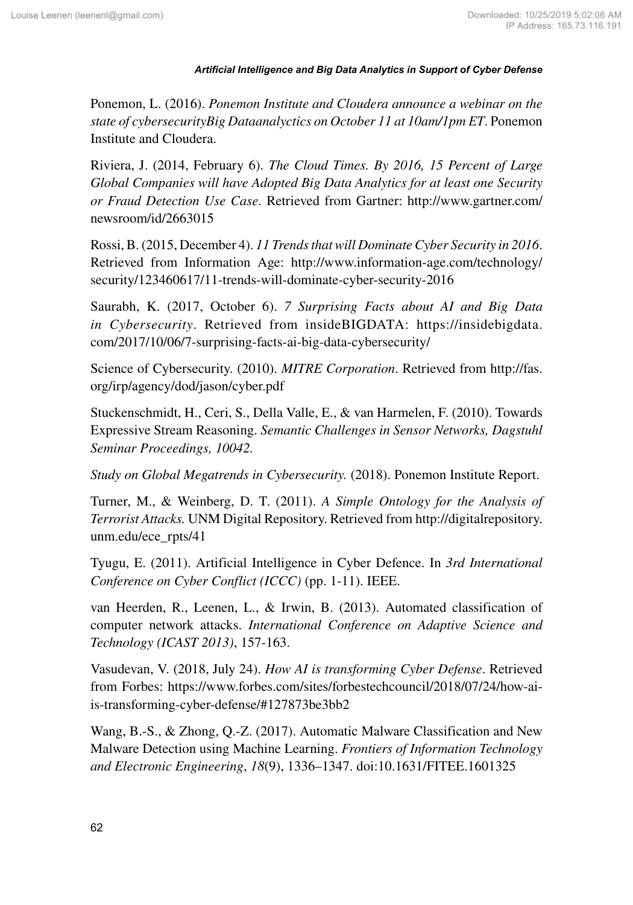Ponemon, L. (2016). *Ponemon Institute and Cloudera announce a webinar on the state of cybersecurityBig Dataanalyctics on October 11 at 10am/1pm ET*. Ponemon Institute and Cloudera.

Riviera, J. (2014, February 6). *The Cloud Times. By 2016, 15 Percent of Large Global Companies will have Adopted Big Data Analytics for at least one Security or Fraud Detection Use Case*. Retrieved from Gartner: [http://www.gartner.com/](http://www.gartner.com/newsroom/id/2663015) [newsroom/id/2663015](http://www.gartner.com/newsroom/id/2663015)

Rossi, B. (2015, December 4). *11 Trends that will Dominate Cyber Security in 2016*. Retrieved from Information Age: [http://www.information-age.com/technology/](http://www.information-age.com/technology/security/123460617/11-trends-will-dominate-cyber-security-2016) [security/123460617/11-trends-will-dominate-cyber-security-2016](http://www.information-age.com/technology/security/123460617/11-trends-will-dominate-cyber-security-2016)

Saurabh, K. (2017, October 6). *7 Surprising Facts about AI and Big Data in Cybersecurity*. Retrieved from insideBIGDATA: [https://insidebigdata.](https://insidebigdata.com/2017/10/06/7-surprising-facts-ai-big-data-cybersecurity/) [com/2017/10/06/7-surprising-facts-ai-big-data-cybersecurity/](https://insidebigdata.com/2017/10/06/7-surprising-facts-ai-big-data-cybersecurity/)

Science of Cybersecurity. (2010). *MITRE Corporation*. Retrieved from [http://fas.](http://fas.org/irp/agency/dod/jason/cyber.pdf) [org/irp/agency/dod/jason/cyber.pdf](http://fas.org/irp/agency/dod/jason/cyber.pdf)

Stuckenschmidt, H., Ceri, S., Della Valle, E., & van Harmelen, F. (2010). Towards Expressive Stream Reasoning. *Semantic Challenges in Sensor Networks, Dagstuhl Seminar Proceedings, 10042.*

*Study on Global Megatrends in Cybersecurity.* (2018). Ponemon Institute Report.

Turner, M., & Weinberg, D. T. (2011). *A Simple Ontology for the Analysis of Terrorist Attacks.* UNM Digital Repository. Retrieved from [http://digitalrepository.](http://digitalrepository.unm.edu/ece_rpts/41) [unm.edu/ece\\_rpts/41](http://digitalrepository.unm.edu/ece_rpts/41)

Tyugu, E. (2011). Artificial Intelligence in Cyber Defence. In *3rd International Conference on Cyber Conflict (ICCC)* (pp. 1-11). IEEE.

van Heerden, R., Leenen, L., & Irwin, B. (2013). Automated classification of computer network attacks. *International Conference on Adaptive Science and Technology (ICAST 2013)*, 157-163.

Vasudevan, V. (2018, July 24). *How AI is transforming Cyber Defense*. Retrieved from Forbes: [https://www.forbes.com/sites/forbestechcouncil/2018/07/24/how-ai](https://www.forbes.com/sites/forbestechcouncil/2018/07/24/how-ai-is-transforming-cyber-defense/#127873be3bb2)[is-transforming-cyber-defense/#127873be3bb2](https://www.forbes.com/sites/forbestechcouncil/2018/07/24/how-ai-is-transforming-cyber-defense/#127873be3bb2)

Wang, B.-S., & Zhong, Q.-Z. (2017). Automatic Malware Classification and New Malware Detection using Machine Learning. *Frontiers of Information Technology and Electronic Engineering*, *18*(9), 1336–1347. doi:10.1631/FITEE.1601325